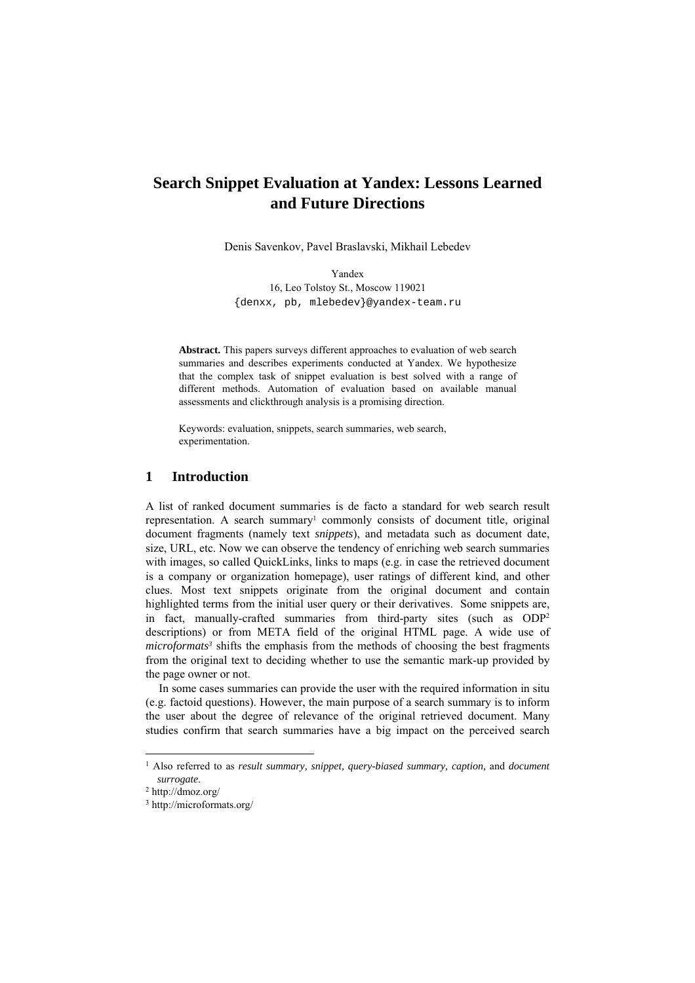# **Search Snippet Evaluation at Yandex: Lessons Learned and Future Directions**

Denis Savenkov, Pavel Braslavski, Mikhail Lebedev

Yandex

16, Leo Tolstoy St., Moscow 119021 {denxx, pb, mlebedev}@yandex-team.ru

**Abstract.** This papers surveys different approaches to evaluation of web search summaries and describes experiments conducted at Yandex. We hypothesize that the complex task of snippet evaluation is best solved with a range of different methods. Automation of evaluation based on available manual assessments and clickthrough analysis is a promising direction.

Keywords: evaluation, snippets, search summaries, web search, experimentation.

# **1 Introduction**

A list of ranked document summaries is de facto a standard for web search result representation. A search summary<sup>1</sup> commonly consists of document title, original document fragments (namely text *snippets*), and metadata such as document date, size, URL, etc. Now we can observe the tendency of enriching web search summaries with images, so called QuickLinks, links to maps (e.g. in case the retrieved document is a company or organization homepage), user ratings of different kind, and other clues. Most text snippets originate from the original document and contain highlighted terms from the initial user query or their derivatives. Some snippets are, in fact, manually-crafted summaries from third-party sites (such as ODP2 descriptions) or from META field of the original HTML page. A wide use of *microformats3* shifts the emphasis from the methods of choosing the best fragments from the original text to deciding whether to use the semantic mark-up provided by the page owner or not.

In some cases summaries can provide the user with the required information in situ (e.g. factoid questions). However, the main purpose of a search summary is to inform the user about the degree of relevance of the original retrieved document. Many studies confirm that search summaries have a big impact on the perceived search

l

<sup>1</sup> Also referred to as *result summary, snippet, query-biased summary, caption,* and *document surrogate*. 2 http://dmoz.org/

<sup>3</sup> http://microformats.org/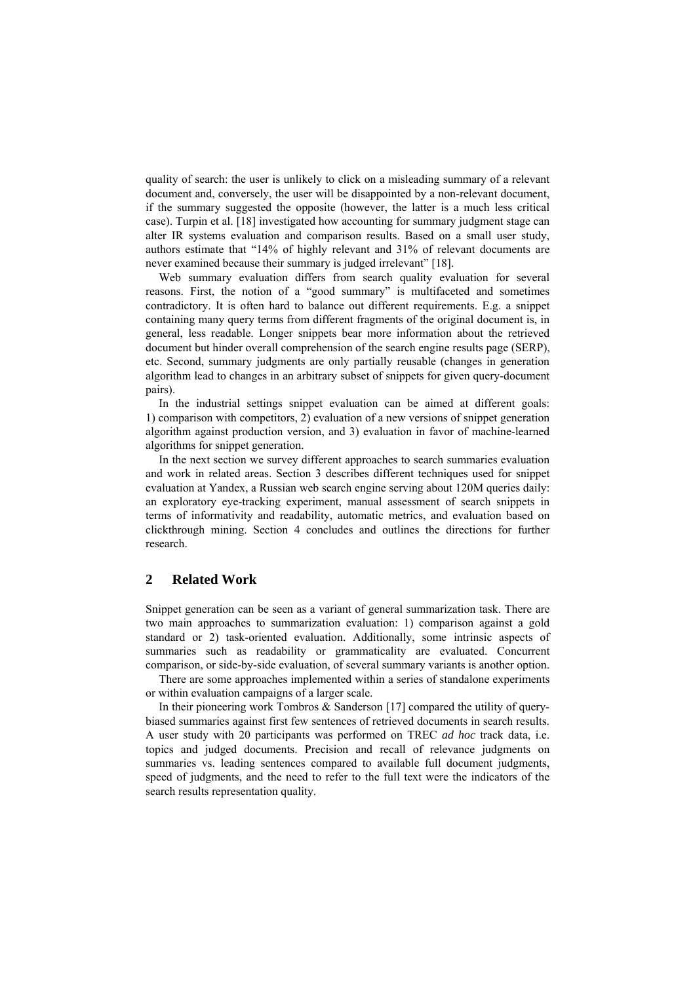quality of search: the user is unlikely to click on a misleading summary of a relevant document and, conversely, the user will be disappointed by a non-relevant document, if the summary suggested the opposite (however, the latter is a much less critical case). Turpin et al. [18] investigated how accounting for summary judgment stage can alter IR systems evaluation and comparison results. Based on a small user study, authors estimate that "14% of highly relevant and 31% of relevant documents are never examined because their summary is judged irrelevant" [18].

Web summary evaluation differs from search quality evaluation for several reasons. First, the notion of a "good summary" is multifaceted and sometimes contradictory. It is often hard to balance out different requirements. E.g. a snippet containing many query terms from different fragments of the original document is, in general, less readable. Longer snippets bear more information about the retrieved document but hinder overall comprehension of the search engine results page (SERP), etc. Second, summary judgments are only partially reusable (changes in generation algorithm lead to changes in an arbitrary subset of snippets for given query-document pairs).

In the industrial settings snippet evaluation can be aimed at different goals: 1) comparison with competitors, 2) evaluation of a new versions of snippet generation algorithm against production version, and 3) evaluation in favor of machine-learned algorithms for snippet generation.

In the next section we survey different approaches to search summaries evaluation and work in related areas. Section 3 describes different techniques used for snippet evaluation at Yandex, a Russian web search engine serving about 120M queries daily: an exploratory eye-tracking experiment, manual assessment of search snippets in terms of informativity and readability, automatic metrics, and evaluation based on clickthrough mining. Section 4 concludes and outlines the directions for further research.

# **2 Related Work**

Snippet generation can be seen as a variant of general summarization task. There are two main approaches to summarization evaluation: 1) comparison against a gold standard or 2) task-oriented evaluation. Additionally, some intrinsic aspects of summaries such as readability or grammaticality are evaluated. Concurrent comparison, or side-by-side evaluation, of several summary variants is another option.

There are some approaches implemented within a series of standalone experiments or within evaluation campaigns of a larger scale.

In their pioneering work Tombros & Sanderson [17] compared the utility of querybiased summaries against first few sentences of retrieved documents in search results. A user study with 20 participants was performed on TREC *ad hoc* track data, i.e. topics and judged documents. Precision and recall of relevance judgments on summaries vs. leading sentences compared to available full document judgments, speed of judgments, and the need to refer to the full text were the indicators of the search results representation quality.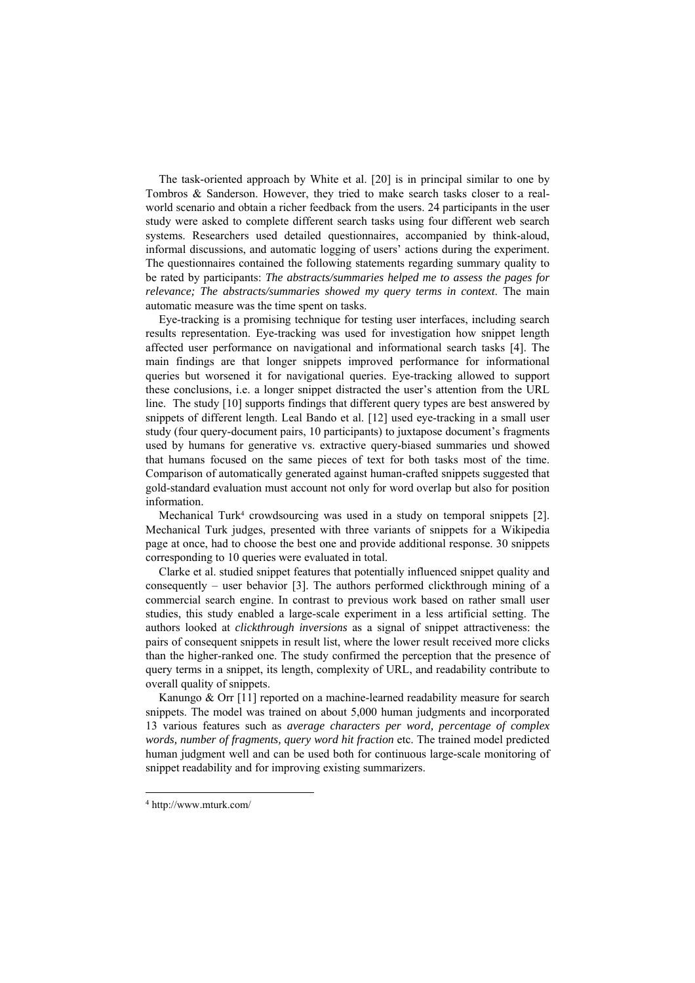The task-oriented approach by White et al. [20] is in principal similar to one by Tombros & Sanderson. However, they tried to make search tasks closer to a realworld scenario and obtain a richer feedback from the users. 24 participants in the user study were asked to complete different search tasks using four different web search systems. Researchers used detailed questionnaires, accompanied by think-aloud, informal discussions, and automatic logging of users' actions during the experiment. The questionnaires contained the following statements regarding summary quality to be rated by participants: *The abstracts/summaries helped me to assess the pages for relevance; The abstracts/summaries showed my query terms in context*. The main automatic measure was the time spent on tasks.

Eye-tracking is a promising technique for testing user interfaces, including search results representation. Eye-tracking was used for investigation how snippet length affected user performance on navigational and informational search tasks [4]. The main findings are that longer snippets improved performance for informational queries but worsened it for navigational queries. Eye-tracking allowed to support these conclusions, i.e. a longer snippet distracted the user's attention from the URL line. The study [10] supports findings that different query types are best answered by snippets of different length. Leal Bando et al. [12] used eye-tracking in a small user study (four query-document pairs, 10 participants) to juxtapose document's fragments used by humans for generative vs. extractive query-biased summaries und showed that humans focused on the same pieces of text for both tasks most of the time. Comparison of automatically generated against human-crafted snippets suggested that gold-standard evaluation must account not only for word overlap but also for position information.

Mechanical Turk<sup>4</sup> crowdsourcing was used in a study on temporal snippets [2]. Mechanical Turk judges, presented with three variants of snippets for a Wikipedia page at once, had to choose the best one and provide additional response. 30 snippets corresponding to 10 queries were evaluated in total.

Clarke et al. studied snippet features that potentially influenced snippet quality and consequently – user behavior [3]. The authors performed clickthrough mining of a commercial search engine. In contrast to previous work based on rather small user studies, this study enabled a large-scale experiment in a less artificial setting. The authors looked at *clickthrough inversions* as a signal of snippet attractiveness: the pairs of consequent snippets in result list, where the lower result received more clicks than the higher-ranked one. The study confirmed the perception that the presence of query terms in a snippet, its length, complexity of URL, and readability contribute to overall quality of snippets.

Kanungo & Orr [11] reported on a machine-learned readability measure for search snippets. The model was trained on about 5,000 human judgments and incorporated 13 various features such as *average characters per word, percentage of complex words, number of fragments, query word hit fraction* etc. The trained model predicted human judgment well and can be used both for continuous large-scale monitoring of snippet readability and for improving existing summarizers.

l

<sup>4</sup> http://www.mturk.com/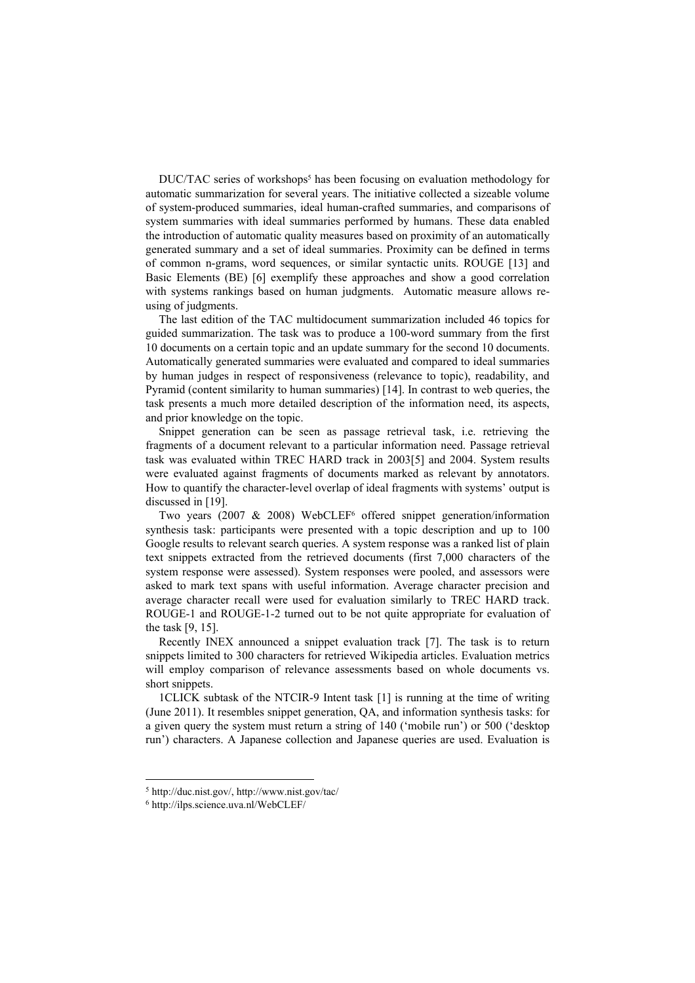$DUC/TAC$  series of workshops<sup>5</sup> has been focusing on evaluation methodology for automatic summarization for several years. The initiative collected a sizeable volume of system-produced summaries, ideal human-crafted summaries, and comparisons of system summaries with ideal summaries performed by humans. These data enabled the introduction of automatic quality measures based on proximity of an automatically generated summary and a set of ideal summaries. Proximity can be defined in terms of common n-grams, word sequences, or similar syntactic units. ROUGE [13] and Basic Elements (BE) [6] exemplify these approaches and show a good correlation with systems rankings based on human judgments. Automatic measure allows reusing of judgments.

The last edition of the TAC multidocument summarization included 46 topics for guided summarization. The task was to produce a 100-word summary from the first 10 documents on a certain topic and an update summary for the second 10 documents. Automatically generated summaries were evaluated and compared to ideal summaries by human judges in respect of responsiveness (relevance to topic), readability, and Pyramid (content similarity to human summaries) [14]. In contrast to web queries, the task presents a much more detailed description of the information need, its aspects, and prior knowledge on the topic.

Snippet generation can be seen as passage retrieval task, i.e. retrieving the fragments of a document relevant to a particular information need. Passage retrieval task was evaluated within TREC HARD track in 2003[5] and 2004. System results were evaluated against fragments of documents marked as relevant by annotators. How to quantify the character-level overlap of ideal fragments with systems' output is discussed in [19].

Two years (2007 & 2008) WebCLEF6 offered snippet generation/information synthesis task: participants were presented with a topic description and up to 100 Google results to relevant search queries. A system response was a ranked list of plain text snippets extracted from the retrieved documents (first 7,000 characters of the system response were assessed). System responses were pooled, and assessors were asked to mark text spans with useful information. Average character precision and average character recall were used for evaluation similarly to TREC HARD track. ROUGE-1 and ROUGE-1-2 turned out to be not quite appropriate for evaluation of the task [9, 15].

Recently INEX announced a snippet evaluation track [7]. The task is to return snippets limited to 300 characters for retrieved Wikipedia articles. Evaluation metrics will employ comparison of relevance assessments based on whole documents vs. short snippets.

1CLICK subtask of the NTCIR-9 Intent task [1] is running at the time of writing (June 2011). It resembles snippet generation, QA, and information synthesis tasks: for a given query the system must return a string of 140 ('mobile run') or 500 ('desktop run') characters. A Japanese collection and Japanese queries are used. Evaluation is

l

<sup>5</sup> http://duc.nist.gov/, http://www.nist.gov/tac/ 6 http://ilps.science.uva.nl/WebCLEF/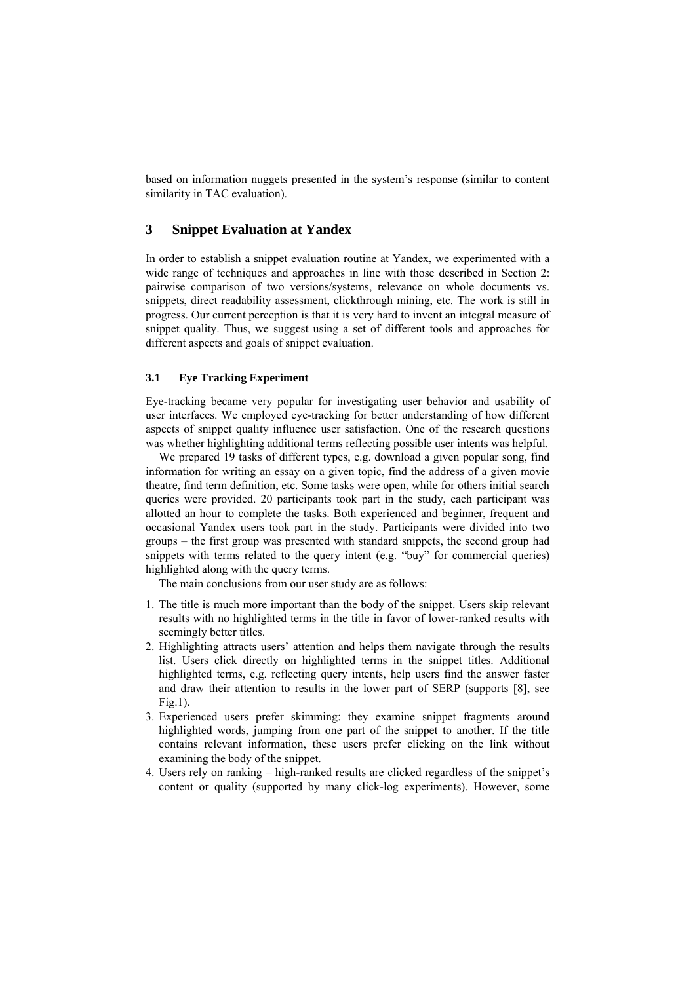based on information nuggets presented in the system's response (similar to content similarity in TAC evaluation).

# **3 Snippet Evaluation at Yandex**

In order to establish a snippet evaluation routine at Yandex, we experimented with a wide range of techniques and approaches in line with those described in Section 2: pairwise comparison of two versions/systems, relevance on whole documents vs. snippets, direct readability assessment, clickthrough mining, etc. The work is still in progress. Our current perception is that it is very hard to invent an integral measure of snippet quality. Thus, we suggest using a set of different tools and approaches for different aspects and goals of snippet evaluation.

### **3.1 Eye Tracking Experiment**

Eye-tracking became very popular for investigating user behavior and usability of user interfaces. We employed eye-tracking for better understanding of how different aspects of snippet quality influence user satisfaction. One of the research questions was whether highlighting additional terms reflecting possible user intents was helpful.

We prepared 19 tasks of different types, e.g. download a given popular song, find information for writing an essay on a given topic, find the address of a given movie theatre, find term definition, etc. Some tasks were open, while for others initial search queries were provided. 20 participants took part in the study, each participant was allotted an hour to complete the tasks. Both experienced and beginner, frequent and occasional Yandex users took part in the study. Participants were divided into two groups – the first group was presented with standard snippets, the second group had snippets with terms related to the query intent (e.g. "buy" for commercial queries) highlighted along with the query terms.

The main conclusions from our user study are as follows:

- 1. The title is much more important than the body of the snippet. Users skip relevant results with no highlighted terms in the title in favor of lower-ranked results with seemingly better titles.
- 2. Highlighting attracts users' attention and helps them navigate through the results list. Users click directly on highlighted terms in the snippet titles. Additional highlighted terms, e.g. reflecting query intents, help users find the answer faster and draw their attention to results in the lower part of SERP (supports [8], see Fig.1).
- 3. Experienced users prefer skimming: they examine snippet fragments around highlighted words, jumping from one part of the snippet to another. If the title contains relevant information, these users prefer clicking on the link without examining the body of the snippet.
- 4. Users rely on ranking high-ranked results are clicked regardless of the snippet's content or quality (supported by many click-log experiments). However, some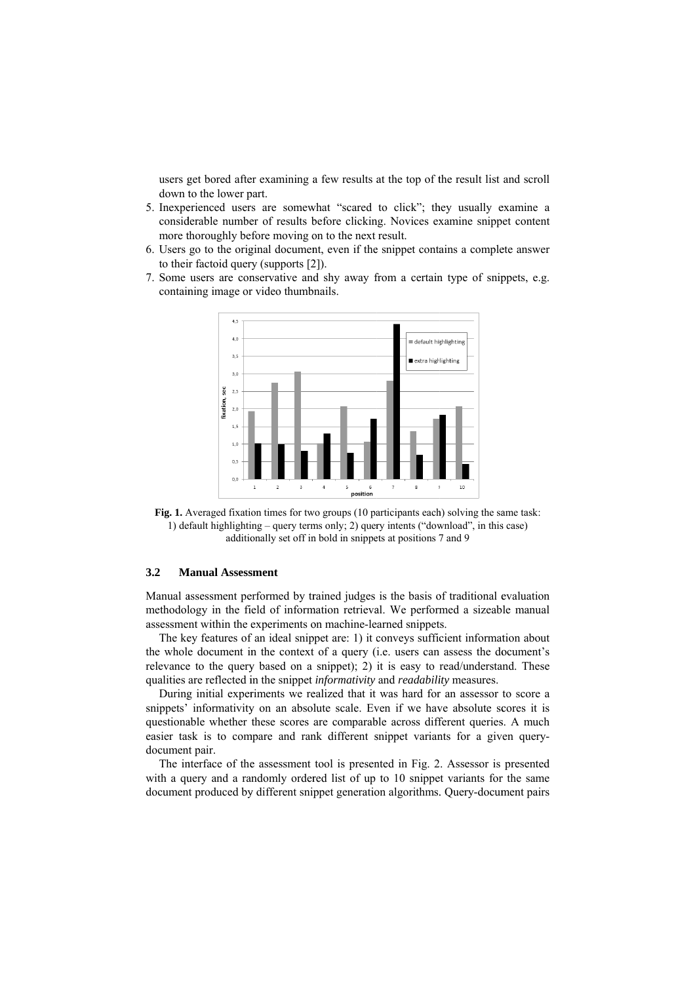users get bored after examining a few results at the top of the result list and scroll down to the lower part.

- 5. Inexperienced users are somewhat "scared to click"; they usually examine a considerable number of results before clicking. Novices examine snippet content more thoroughly before moving on to the next result.
- 6. Users go to the original document, even if the snippet contains a complete answer to their factoid query (supports  $[2]$ ).
- 7. Some users are conservative and shy away from a certain type of snippets, e.g. containing image or video thumbnails.



Fig. 1. Averaged fixation times for two groups (10 participants each) solving the same task: 1) default highlighting – query terms only; 2) query intents ("download", in this case) additionally set off in bold in snippets at positions 7 and 9

#### **3.2 M Manual Assess sment**

Manual assessment performed by trained judges is the basis of traditional evaluation methodology in the field of information retrieval. We performed a sizeable manual assessment within the experiments on machine-learned snippets.

The key features of an ideal snippet are: 1) it conveys sufficient information about the whole document in the context of a query (i.e. users can assess the document's relevance to the query based on a snippet); 2) it is easy to read/understand. These qualities are reflected in the snippet *informativity* and *readability* measures.

During initial experiments we realized that it was hard for an assessor to score a snippets' informativity on an absolute scale. Even if we have absolute scores it is questionable whether these scores are comparable across different queries. A much easier task is to compare and rank different snippet variants for a given querydocument pair.

The interface of the assessment tool is presented in Fig. 2. Assessor is presented with a query and a randomly ordered list of up to 10 snippet variants for the same document produced by different snippet generation algorithms. Query-document pairs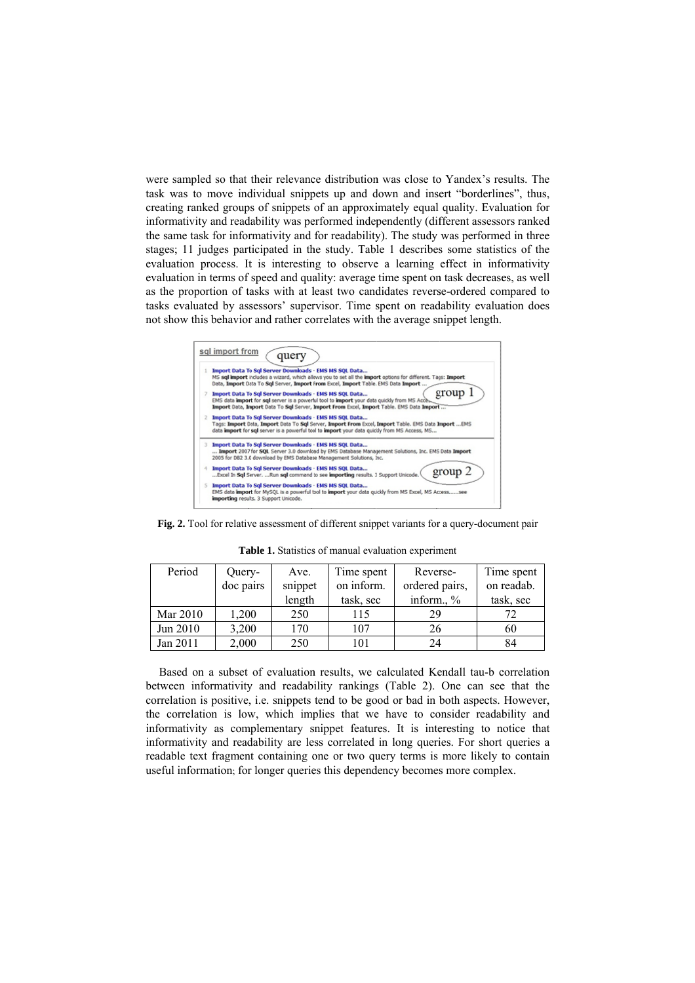were sampled so that their relevance distribution was close to Yandex's results. The task was to move individual snippets up and down and insert "borderlines", thus, creating ranked groups of snippets of an approximately equal quality. Evaluation for informativity and readability was performed independently (different assessors ranked the same task for informativity and for readability). The study was performed in three stages; 11 judges participated in the study. Table 1 describes some statistics of the evaluation process. It is interesting to observe a learning effect in informativity evaluation in terms of speed and quality: average time spent on task decreases, as well as the proportion of tasks with at least two candidates reverse-ordered compared to tasks evaluated by assessors' supervisor. Time spent on readability evaluation does not show this behavior and rather correlates with the average snippet length.



Fig. 2. Tool for relative assessment of different snippet variants for a query-document pair

| Period                                                                           | Query-    | Ave.    | Time spent | Reverse-       | Time spent |
|----------------------------------------------------------------------------------|-----------|---------|------------|----------------|------------|
|                                                                                  | doc pairs | snippet | on inform. | ordered pairs, | on readab. |
|                                                                                  |           | length  | task, sec  | inform., %     | task, sec  |
| Mar 2010                                                                         | 1,200     | 250     | 115        | 29             | 72         |
| Jun 2010                                                                         | 3,200     | 170     | 107        | 26             | 60         |
| Jan 2011                                                                         | 2,000     | 250     | 101        | 24             | 84         |
|                                                                                  |           |         |            |                |            |
| Based on a subset of evaluation results, we calculated Kendall tau-b correlation |           |         |            |                |            |

Table 1. Statistics of manual evaluation experiment

between informativity and readability rankings (Table 2). One can see that the correlation is positive, i.e. snippets tend to be good or bad in both aspects. However, the correlation is low, which implies that we have to consider readability and informativity as complementary snippet features. It is interesting to notice that informativity and readability are less correlated in long queries. For short queries a readable text fragment containing one or two query terms is more likely to contain useful information; for longer queries this dependency becomes more complex.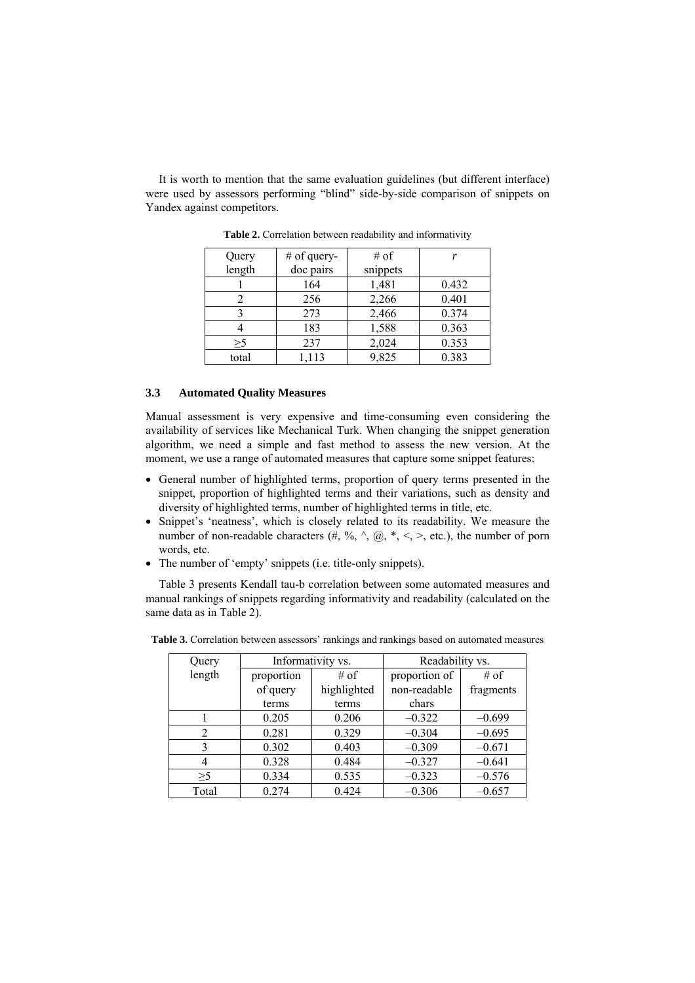It is worth to mention that the same evaluation guidelines (but different interface) were used by assessors performing "blind" side-by-side comparison of snippets on Yandex against competitors.

| Query    | $#$ of query- | $#$ of   |       |
|----------|---------------|----------|-------|
| length   | doc pairs     | snippets |       |
|          | 164           | 1,481    | 0.432 |
|          | 256           | 2,266    | 0.401 |
|          | 273           | 2,466    | 0.374 |
|          | 183           | 1,588    | 0.363 |
| $\geq 5$ | 237           | 2,024    | 0.353 |
| total    | 1,113         | 9,825    | 0.383 |

**Table 2.** Correlation between readability and informativity

### **3.3 Automated Quality Measures**

Manual assessment is very expensive and time-consuming even considering the availability of services like Mechanical Turk. When changing the snippet generation algorithm, we need a simple and fast method to assess the new version. At the moment, we use a range of automated measures that capture some snippet features:

- General number of highlighted terms, proportion of query terms presented in the snippet, proportion of highlighted terms and their variations, such as density and diversity of highlighted terms, number of highlighted terms in title, etc.
- Snippet's 'neatness', which is closely related to its readability. We measure the number of non-readable characters  $(\#, \%, \land, \textcircled{a}, *, \lt, , \gt, \text{etc.})$ , the number of porn words, etc.
- The number of 'empty' snippets (i.e. title-only snippets).

Table 3 presents Kendall tau-b correlation between some automated measures and manual rankings of snippets regarding informativity and readability (calculated on the same data as in Table 2).

| Query  | Informativity vs. |             | Readability vs. |           |
|--------|-------------------|-------------|-----------------|-----------|
| length | proportion        | # of        | proportion of   | $#$ of    |
|        | of query          | highlighted | non-readable    | fragments |
|        | terms             | terms       | chars           |           |
|        | 0.205             | 0.206       | $-0.322$        | $-0.699$  |
| 2      | 0.281             | 0.329       | $-0.304$        | $-0.695$  |
| 3      | 0.302             | 0.403       | $-0.309$        | $-0.671$  |
| 4      | 0.328             | 0.484       | $-0.327$        | $-0.641$  |
| >5     | 0.334             | 0.535       | $-0.323$        | $-0.576$  |
| Total  | 0.274             | 0.424       | $-0.306$        | $-0.657$  |

**Table 3.** Correlation between assessors' rankings and rankings based on automated measures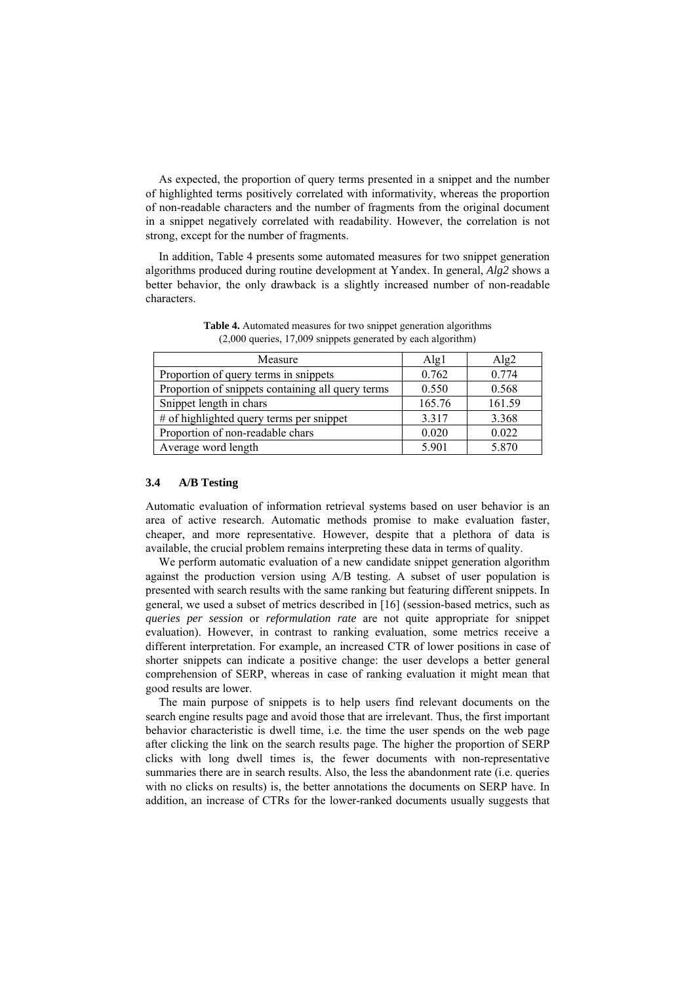As expected, the proportion of query terms presented in a snippet and the number of highlighted terms positively correlated with informativity, whereas the proportion of non-readable characters and the number of fragments from the original document in a snippet negatively correlated with readability. However, the correlation is not strong, except for the number of fragments.

In addition, Table 4 presents some automated measures for two snippet generation algorithms produced during routine development at Yandex. In general, *Alg2* shows a better behavior, the only drawback is a slightly increased number of non-readable characters.

| Measure                                           | Alg1   | $\rm{Alg2}$ |
|---------------------------------------------------|--------|-------------|
| Proportion of query terms in snippets             | 0.762  | 0.774       |
| Proportion of snippets containing all query terms | 0.550  | 0.568       |
| Snippet length in chars                           | 165.76 | 161.59      |
| # of highlighted query terms per snippet          | 3.317  | 3.368       |
| Proportion of non-readable chars                  | 0.020  | 0.022       |
| Average word length                               | 5.901  | 5.870       |

**Table 4.** Automated measures for two snippet generation algorithms (2,000 queries, 17,009 snippets generated by each algorithm)

### **3.4 A/B Testing**

Automatic evaluation of information retrieval systems based on user behavior is an area of active research. Automatic methods promise to make evaluation faster, cheaper, and more representative. However, despite that a plethora of data is available, the crucial problem remains interpreting these data in terms of quality.

We perform automatic evaluation of a new candidate snippet generation algorithm against the production version using A/B testing. A subset of user population is presented with search results with the same ranking but featuring different snippets. In general, we used a subset of metrics described in [16] (session-based metrics, such as *queries per session* or *reformulation rate* are not quite appropriate for snippet evaluation). However, in contrast to ranking evaluation, some metrics receive a different interpretation. For example, an increased CTR of lower positions in case of shorter snippets can indicate a positive change: the user develops a better general comprehension of SERP, whereas in case of ranking evaluation it might mean that good results are lower.

The main purpose of snippets is to help users find relevant documents on the search engine results page and avoid those that are irrelevant. Thus, the first important behavior characteristic is dwell time, i.e. the time the user spends on the web page after clicking the link on the search results page. The higher the proportion of SERP clicks with long dwell times is, the fewer documents with non-representative summaries there are in search results. Also, the less the abandonment rate (i.e. queries with no clicks on results) is, the better annotations the documents on SERP have. In addition, an increase of CTRs for the lower-ranked documents usually suggests that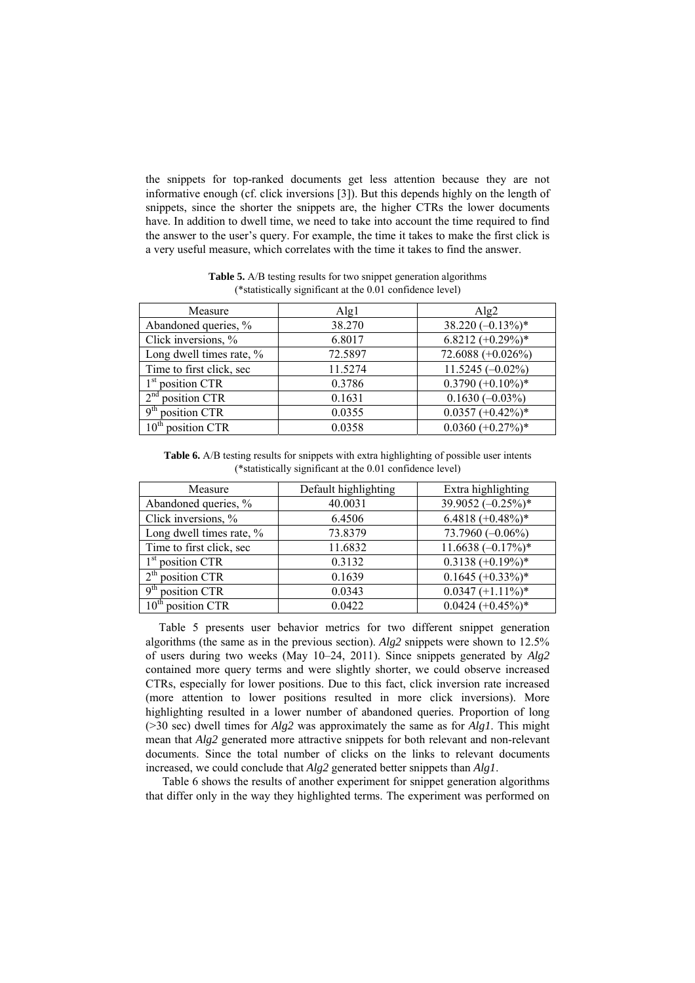the snippets for top-ranked documents get less attention because they are not informative enough (cf. click inversions [3]). But this depends highly on the length of snippets, since the shorter the snippets are, the higher CTRs the lower documents have. In addition to dwell time, we need to take into account the time required to find the answer to the user's query. For example, the time it takes to make the first click is a very useful measure, which correlates with the time it takes to find the answer.

| Measure                         | Alg1    | $\rm{Alg2}$         |
|---------------------------------|---------|---------------------|
| Abandoned queries, %            | 38.270  | 38.220 $(-0.13\%)*$ |
| Click inversions, %             | 6.8017  | $6.8212 (+0.29\%)*$ |
| Long dwell times rate, $\%$     | 72.5897 | 72.6088 (+0.026%)   |
| Time to first click, sec        | 11.5274 | $11.5245(-0.02\%)$  |
| $1st$ position CTR              | 0.3786  | $0.3790 (+0.10\%)*$ |
| $2nd$ position CTR              | 0.1631  | $0.1630(-0.03\%)$   |
| Q <sup>th</sup><br>position CTR | 0.0355  | $0.0357 (+0.42\%)*$ |
| $10th$ position CTR             | 0.0358  | $0.0360 (+0.27\%)*$ |

**Table 5.** A/B testing results for two snippet generation algorithms (\*statistically significant at the 0.01 confidence level)

**Table 6.** A/B testing results for snippets with extra highlighting of possible user intents (\*statistically significant at the 0.01 confidence level)

| Measure                  | Default highlighting | Extra highlighting   |  |
|--------------------------|----------------------|----------------------|--|
| Abandoned queries, %     | 40.0031              | 39.9052 (-0.25%)*    |  |
| Click inversions, %      | 6.4506               | $6.4818 (+0.48\%)*$  |  |
| Long dwell times rate, % | 73.8379              | 73.7960 (-0.06%)     |  |
| Time to first click, sec | 11.6832              | $11.6638 (-0.17\%)*$ |  |
| $1st$ position CTR       | 0.3132               | $0.3138 (+0.19\%)*$  |  |
| $2th$ position CTR       | 0.1639               | $0.1645 (+0.33\%)*$  |  |
| $9th$ position CTR       | 0.0343               | $0.0347 (+1.11\%)*$  |  |
| $10th$ position CTR      | 0.0422               | $0.0424 (+0.45\%)*$  |  |

Table 5 presents user behavior metrics for two different snippet generation algorithms (the same as in the previous section). *Alg2* snippets were shown to 12.5% of users during two weeks (May 10–24, 2011). Since snippets generated by *Alg2* contained more query terms and were slightly shorter, we could observe increased CTRs, especially for lower positions. Due to this fact, click inversion rate increased (more attention to lower positions resulted in more click inversions). More highlighting resulted in a lower number of abandoned queries. Proportion of long (>30 sec) dwell times for *Alg2* was approximately the same as for *Alg1*. This might mean that *Alg2* generated more attractive snippets for both relevant and non-relevant documents. Since the total number of clicks on the links to relevant documents increased, we could conclude that *Alg2* generated better snippets than *Alg1*.

Table 6 shows the results of another experiment for snippet generation algorithms that differ only in the way they highlighted terms. The experiment was performed on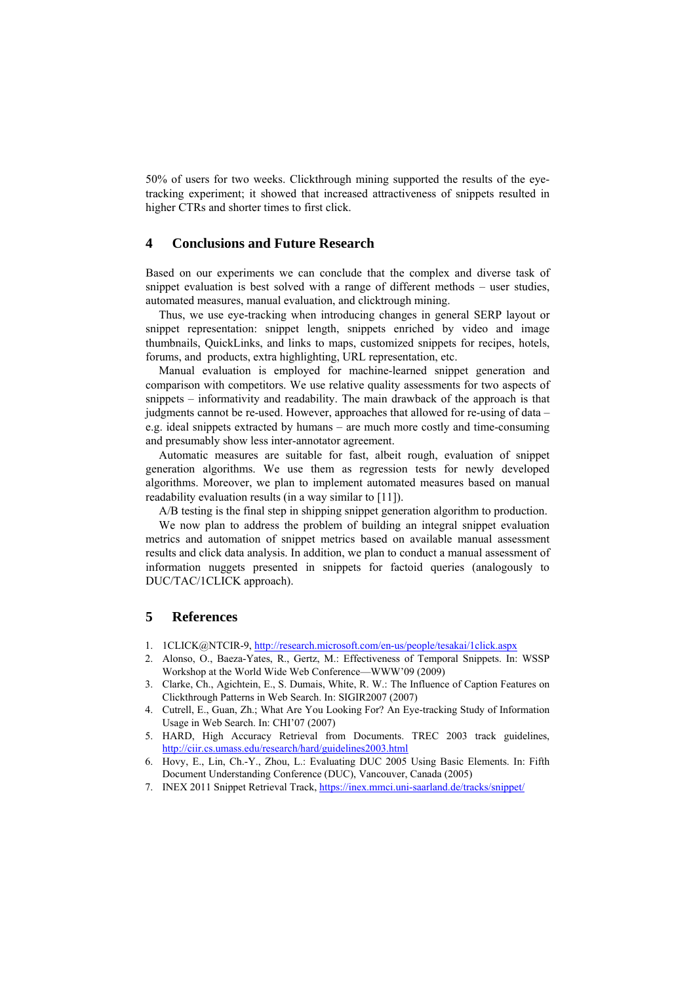50% of users for two weeks. Clickthrough mining supported the results of the eyetracking experiment; it showed that increased attractiveness of snippets resulted in higher CTRs and shorter times to first click.

# **4 Conclusions and Future Research**

Based on our experiments we can conclude that the complex and diverse task of snippet evaluation is best solved with a range of different methods – user studies, automated measures, manual evaluation, and clicktrough mining.

Thus, we use eye-tracking when introducing changes in general SERP layout or snippet representation: snippet length, snippets enriched by video and image thumbnails, QuickLinks, and links to maps, customized snippets for recipes, hotels, forums, and products, extra highlighting, URL representation, etc.

Manual evaluation is employed for machine-learned snippet generation and comparison with competitors. We use relative quality assessments for two aspects of snippets – informativity and readability. The main drawback of the approach is that judgments cannot be re-used. However, approaches that allowed for re-using of data – e.g. ideal snippets extracted by humans – are much more costly and time-consuming and presumably show less inter-annotator agreement.

Automatic measures are suitable for fast, albeit rough, evaluation of snippet generation algorithms. We use them as regression tests for newly developed algorithms. Moreover, we plan to implement automated measures based on manual readability evaluation results (in a way similar to [11]).

A/B testing is the final step in shipping snippet generation algorithm to production.

We now plan to address the problem of building an integral snippet evaluation metrics and automation of snippet metrics based on available manual assessment results and click data analysis. In addition, we plan to conduct a manual assessment of information nuggets presented in snippets for factoid queries (analogously to DUC/TAC/1CLICK approach).

# **5 References**

- 1. 1CLICK@NTCIR-9, http://research.microsoft.com/en-us/people/tesakai/1click.aspx
- 2. Alonso, O., Baeza-Yates, R., Gertz, M.: Effectiveness of Temporal Snippets. In: WSSP Workshop at the World Wide Web Conference—WWW'09 (2009)
- 3. Clarke, Ch., Agichtein, E., S. Dumais, White, R. W.: The Influence of Caption Features on Clickthrough Patterns in Web Search. In: SIGIR2007 (2007)
- 4. Cutrell, E., Guan, Zh.; What Are You Looking For? An Eye-tracking Study of Information Usage in Web Search. In: CHI'07 (2007)
- 5. HARD, High Accuracy Retrieval from Documents. TREC 2003 track guidelines, http://ciir.cs.umass.edu/research/hard/guidelines2003.html
- 6. Hovy, E., Lin, Ch.-Y., Zhou, L.: Evaluating DUC 2005 Using Basic Elements. In: Fifth Document Understanding Conference (DUC), Vancouver, Canada (2005)
- 7. INEX 2011 Snippet Retrieval Track, https://inex.mmci.uni-saarland.de/tracks/snippet/